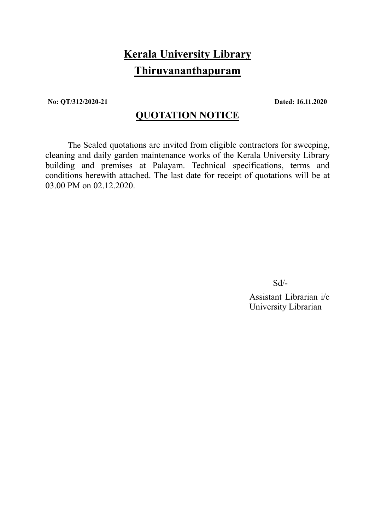# Kerala University Library Thiruvananthapuram

No: QT/312/2020-21 Dated: 16.11.2020

# QUOTATION NOTICE

 The Sealed quotations are invited from eligible contractors for sweeping, cleaning and daily garden maintenance works of the Kerala University Library building and premises at Palayam. Technical specifications, terms and conditions herewith attached. The last date for receipt of quotations will be at 03.00 PM on 02.12.2020.

Sd/-

 Assistant Librarian i/c University Librarian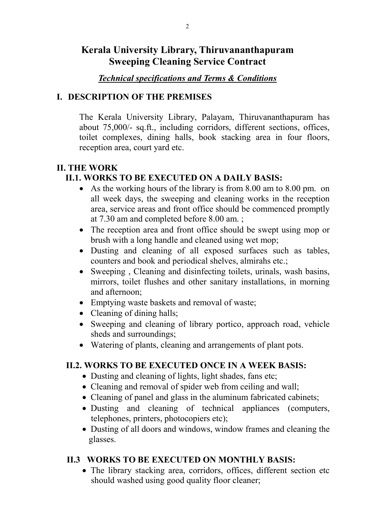# Kerala University Library, Thiruvananthapuram Sweeping Cleaning Service Contract

# Technical specifications and Terms & Conditions

### I. DESCRIPTION OF THE PREMISES

The Kerala University Library, Palayam, Thiruvananthapuram has about 75,000/- sq.ft., including corridors, different sections, offices, toilet complexes, dining halls, book stacking area in four floors, reception area, court yard etc.

#### II. THE WORK II.1. WORKS TO BE EXECUTED ON A DAILY BASIS:

- As the working hours of the library is from 8.00 am to 8.00 pm. on all week days, the sweeping and cleaning works in the reception area, service areas and front office should be commenced promptly at 7.30 am and completed before 8.00 am. ;
- The reception area and front office should be swept using mop or brush with a long handle and cleaned using wet mop;
- Dusting and cleaning of all exposed surfaces such as tables, counters and book and periodical shelves, almirahs etc.;
- Sweeping, Cleaning and disinfecting toilets, urinals, wash basins, mirrors, toilet flushes and other sanitary installations, in morning and afternoon;
- Emptying waste baskets and removal of waste;
- Cleaning of dining halls;
- Sweeping and cleaning of library portico, approach road, vehicle sheds and surroundings;
- Watering of plants, cleaning and arrangements of plant pots.

# II.2. WORKS TO BE EXECUTED ONCE IN A WEEK BASIS:

- Dusting and cleaning of lights, light shades, fans etc;
- Cleaning and removal of spider web from ceiling and wall;
- Cleaning of panel and glass in the aluminum fabricated cabinets;
- Dusting and cleaning of technical appliances (computers, telephones, printers, photocopiers etc);
- Dusting of all doors and windows, window frames and cleaning the glasses.

# II.3 WORKS TO BE EXECUTED ON MONTHLY BASIS:

• The library stacking area, corridors, offices, different section etc should washed using good quality floor cleaner;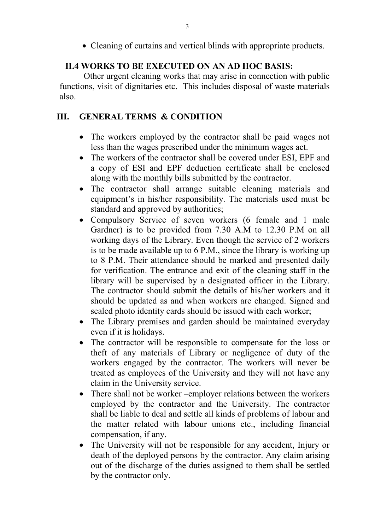• Cleaning of curtains and vertical blinds with appropriate products.

# II.4 WORKS TO BE EXECUTED ON AN AD HOC BASIS:

 Other urgent cleaning works that may arise in connection with public functions, visit of dignitaries etc. This includes disposal of waste materials also.

# III. GENERAL TERMS & CONDITION

- The workers employed by the contractor shall be paid wages not less than the wages prescribed under the minimum wages act.
- The workers of the contractor shall be covered under ESI, EPF and a copy of ESI and EPF deduction certificate shall be enclosed along with the monthly bills submitted by the contractor.
- The contractor shall arrange suitable cleaning materials and equipment's in his/her responsibility. The materials used must be standard and approved by authorities;
- Compulsory Service of seven workers (6 female and 1 male Gardner) is to be provided from 7.30 A.M to 12.30 P.M on all working days of the Library. Even though the service of 2 workers is to be made available up to 6 P.M., since the library is working up to 8 P.M. Their attendance should be marked and presented daily for verification. The entrance and exit of the cleaning staff in the library will be supervised by a designated officer in the Library. The contractor should submit the details of his/her workers and it should be updated as and when workers are changed. Signed and sealed photo identity cards should be issued with each worker;
- The Library premises and garden should be maintained everyday even if it is holidays.
- The contractor will be responsible to compensate for the loss or theft of any materials of Library or negligence of duty of the workers engaged by the contractor. The workers will never be treated as employees of the University and they will not have any claim in the University service.
- There shall not be worker –employer relations between the workers employed by the contractor and the University. The contractor shall be liable to deal and settle all kinds of problems of labour and the matter related with labour unions etc., including financial compensation, if any.
- The University will not be responsible for any accident, Injury or death of the deployed persons by the contractor. Any claim arising out of the discharge of the duties assigned to them shall be settled by the contractor only.